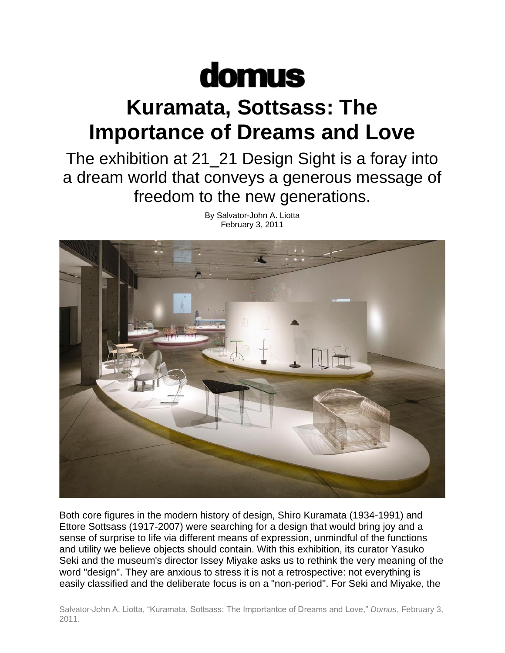## domus

## **Kuramata, Sottsass: The Importance of Dreams and Love**

The exhibition at 21\_21 Design Sight is a foray into a dream world that conveys a generous message of freedom to the new generations.



By Salvator-John A. Liotta February 3, 2011

Both core figures in the modern history of design, Shiro Kuramata (1934-1991) and Ettore Sottsass (1917-2007) were searching for a design that would bring joy and a sense of surprise to life via different means of expression, unmindful of the functions and utility we believe objects should contain. With this exhibition, its curator Yasuko Seki and the museum's director Issey Miyake asks us to rethink the very meaning of the word "design". They are anxious to stress it is not a retrospective: not everything is easily classified and the deliberate focus is on a "non-period". For Seki and Miyake, the

Salvator-John A. Liotta, "Kuramata, Sottsass: The Importantce of Dreams and Love," *Domus*, February 3, 2011.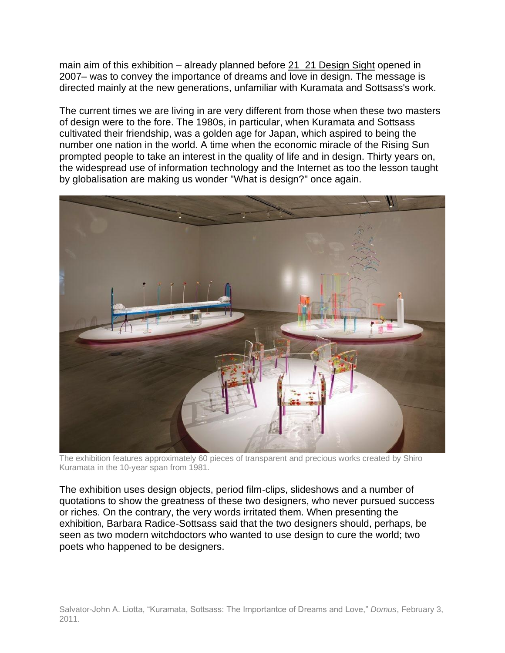main aim of this exhibition – already planned before [21\\_21 Design Sight](http://www.2121designsight.jp/) opened in 2007– was to convey the importance of dreams and love in design. The message is directed mainly at the new generations, unfamiliar with Kuramata and Sottsass's work.

The current times we are living in are very different from those when these two masters of design were to the fore. The 1980s, in particular, when Kuramata and Sottsass cultivated their friendship, was a golden age for Japan, which aspired to being the number one nation in the world. A time when the economic miracle of the Rising Sun prompted people to take an interest in the quality of life and in design. Thirty years on, the widespread use of information technology and the Internet as too the lesson taught by globalisation are making us wonder "What is design?" once again.



The exhibition features approximately 60 pieces of transparent and precious works created by Shiro Kuramata in the 10-year span from 1981.

The exhibition uses design objects, period film-clips, slideshows and a number of quotations to show the greatness of these two designers, who never pursued success or riches. On the contrary, the very words irritated them. When presenting the exhibition, Barbara Radice-Sottsass said that the two designers should, perhaps, be seen as two modern witchdoctors who wanted to use design to cure the world; two poets who happened to be designers.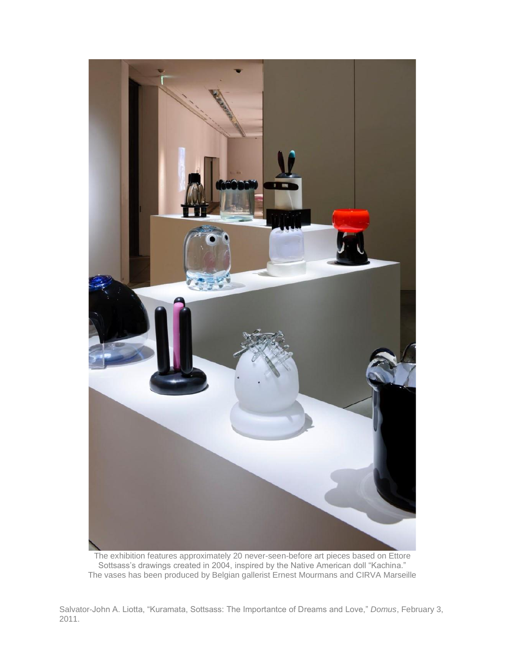

The exhibition features approximately 20 never-seen-before art pieces based on Ettore Sottsass's drawings created in 2004, inspired by the Native American doll "Kachina." The vases has been produced by Belgian gallerist Ernest Mourmans and CIRVA Marseille

Salvator-John A. Liotta, "Kuramata, Sottsass: The Importantce of Dreams and Love," *Domus*, February 3, 2011.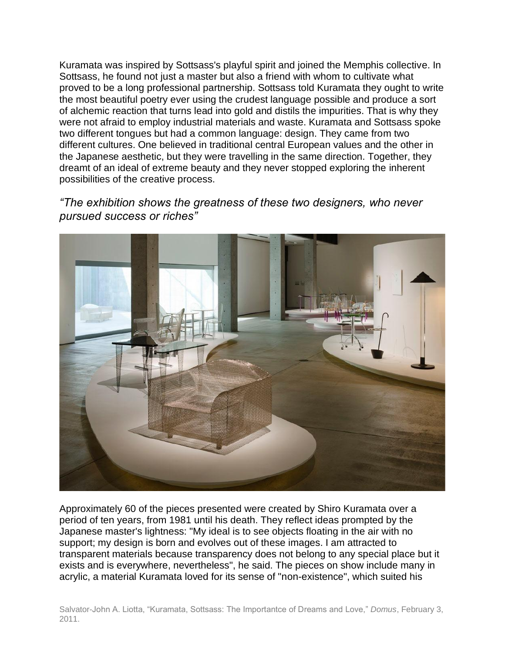Kuramata was inspired by Sottsass's playful spirit and joined the Memphis collective. In Sottsass, he found not just a master but also a friend with whom to cultivate what proved to be a long professional partnership. Sottsass told Kuramata they ought to write the most beautiful poetry ever using the crudest language possible and produce a sort of alchemic reaction that turns lead into gold and distils the impurities. That is why they were not afraid to employ industrial materials and waste. Kuramata and Sottsass spoke two different tongues but had a common language: design. They came from two different cultures. One believed in traditional central European values and the other in the Japanese aesthetic, but they were travelling in the same direction. Together, they dreamt of an ideal of extreme beauty and they never stopped exploring the inherent possibilities of the creative process.

## *"The exhibition shows the greatness of these two designers, who never pursued success or riches"*



Approximately 60 of the pieces presented were created by Shiro Kuramata over a period of ten years, from 1981 until his death. They reflect ideas prompted by the Japanese master's lightness: "My ideal is to see objects floating in the air with no support; my design is born and evolves out of these images. I am attracted to transparent materials because transparency does not belong to any special place but it exists and is everywhere, nevertheless", he said. The pieces on show include many in acrylic, a material Kuramata loved for its sense of "non-existence", which suited his

Salvator-John A. Liotta, "Kuramata, Sottsass: The Importantce of Dreams and Love," *Domus*, February 3, 2011.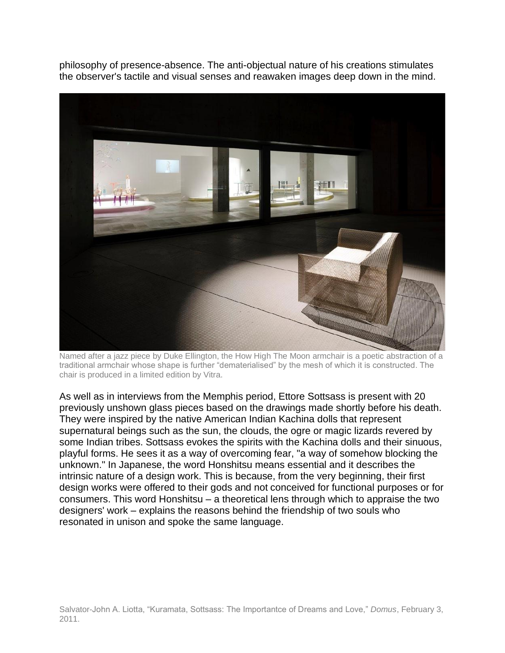philosophy of presence-absence. The anti-objectual nature of his creations stimulates the observer's tactile and visual senses and reawaken images deep down in the mind.



Named after a jazz piece by Duke Ellington, the How High The Moon armchair is a poetic abstraction of a traditional armchair whose shape is further "dematerialised" by the mesh of which it is constructed. The chair is produced in a limited edition by Vitra.

As well as in interviews from the Memphis period, Ettore Sottsass is present with 20 previously unshown glass pieces based on the drawings made shortly before his death. They were inspired by the native American Indian Kachina dolls that represent supernatural beings such as the sun, the clouds, the ogre or magic lizards revered by some Indian tribes. Sottsass evokes the spirits with the Kachina dolls and their sinuous, playful forms. He sees it as a way of overcoming fear, "a way of somehow blocking the unknown." In Japanese, the word Honshitsu means essential and it describes the intrinsic nature of a design work. This is because, from the very beginning, their first design works were offered to their gods and not conceived for functional purposes or for consumers. This word Honshitsu – a theoretical lens through which to appraise the two designers' work – explains the reasons behind the friendship of two souls who resonated in unison and spoke the same language.